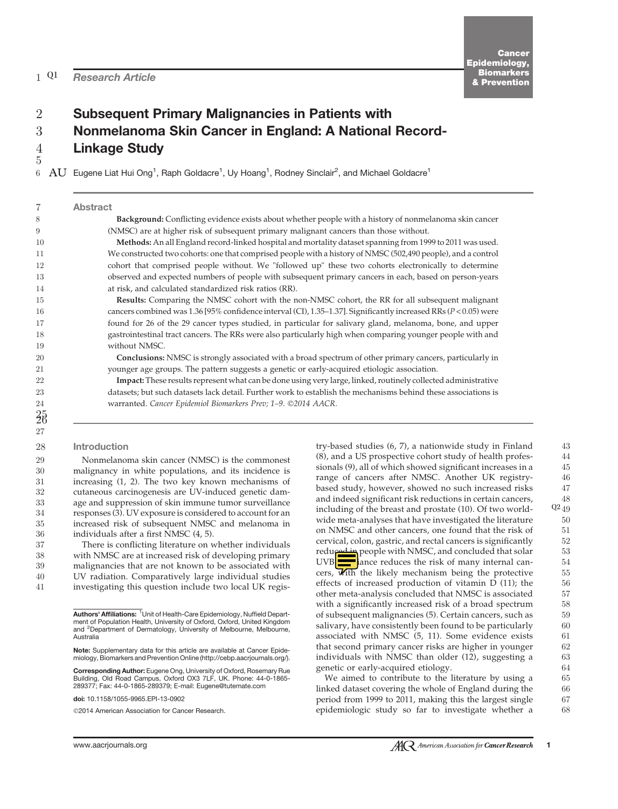## $1<sup>Q1</sup>$  Research Article

# 2 Subsequent Primary Malignancies in Patients with

## 3 Nonmelanoma Skin Cancer in England: A National Record-

## 4 Linkage Study 5

6  $\, {\rm AU} \,$  $\, {\rm AU} \,$  $\, {\rm AU} \,$  Eugene Liat Hui Ong<sup>1</sup>, Raph Goldacre<sup>1</sup>, Uy Hoang<sup>1</sup>, Rodney Sinclair<sup>2</sup>, and Michael Goldacre<sup>1</sup>

## 7 Abstract

8 **Background:** Conflicting evidence exists about whether people with a history of nonmelanoma skin cancer 9 (NMSC) are at higher risk of subsequent primary malignant cancers than those without.

 Methods: An all England record-linked hospital and mortality dataset spanning from 1999 to 2011 was used. We constructed two cohorts: one that comprised people with a history of NMSC (502,490 people), and a control cohort that comprised people without. We "followed up" these two cohorts electronically to determine observed and expected numbers of people with subsequent primary cancers in each, based on person-years at risk, and calculated standardized risk ratios (RR).

 Results: Comparing the NMSC cohort with the non-NMSC cohort, the RR for all subsequent malignant cancers combined was 1.36 [95% confidence interval (CI), 1.35–1.37]. Significantly increased RRs (P < 0.05) were found for 26 of the 29 cancer types studied, in particular for salivary gland, melanoma, bone, and upper gastrointestinal tract cancers. The RRs were also particularly high when comparing younger people with and without NMSC.

20 Conclusions: NMSC is strongly associated with a broad spectrum of other primary cancers, particularly in 21 younger age groups. The pattern suggests a genetic or early-acquired etiologic association.

22 Impact: These results represent what can be done using very large, linked, routinely collected administrative 23 datasets; but such datasets lack detail. Further work to establish the mechanisms behind these associations is 24 warranted. Cancer Epidemiol Biomarkers Prev; 1-9. @2014 AACR.

### 28 Introduction

 $25$ 27

 Nonmelanoma skin cancer (NMSC) is the commonest malignancy in white populations, and its incidence is increasing (1, 2). The two key known mechanisms of cutaneous carcinogenesis are UV-induced genetic dam-33 age and suppression of skin immune tumor surveillance<br>34 responses (3). UV exposure is considered to account for an responses (3). UV exposure is considered to account for an increased risk of subsequent NMSC and melanoma in individuals after a first NMSC (4, 5).

 There is conflicting literature on whether individuals with NMSC are at increased risk of developing primary malignancies that are not known to be associated with UV radiation. Comparatively large individual studies investigating this question include two local UK regis-

Corresponding Author: Eugene Ong, University of Oxford, Rosemary Rue Building, Old Road Campus, Oxford OX3 7LF, UK. Phone: 44-0-1865- 289377; Fax: 44-0-1865-289379; E-mail: Eugene@tutemate.com

doi: 10.1158/1055-9965.EPI-13-0902

!2014 American Association for Cancer Research.

try-based studies (6, 7), a nationwide study in Finland 43 (8), and a US prospective cohort study of health profes- 44 sionals (9), all of which showed significant increases in a 45 range of cancers after NMSC. Another UK registry- 46 based study, however, showed no such increased risks 47 and indeed significant risk reductions in certain cancers,  $48$ <br>including of the breast and prostate (10). Of two world- $24.9$ including of the breast and prostate (10). Of two worldwide meta-analyses that have investigated the literature  $50$ on NMSC and other cancers, one found that the risk of 51 cervical, colon, gastric, and rectal cancers is significantly 52 reduced in people with NMSC, and concluded that solar 53<br>UVB**C** ance reduces the risk of many internal can- $\blacksquare$  ance reduces the risk of many internal can- 54 cers, **With** the likely mechanism being the protective 55 effects of increased production of vitamin D (11); the 56 other meta-analysis concluded that NMSC is associated 57 with a significantly increased risk of a broad spectrum 58 of subsequent malignancies (5). Certain cancers, such as 59 salivary, have consistently been found to be particularly 60 associated with NMSC (5, 11). Some evidence exists 61 that second primary cancer risks are higher in younger 62 individuals with NMSC than older (12), suggesting a 63 genetic or early-acquired etiology. 64

We aimed to contribute to the literature by using a 65 linked dataset covering the whole of England during the 66 period from 1999 to 2011, making this the largest single 67 epidemiologic study so far to investigate whether a 68

Authors' Affiliations: <sup>1</sup>Unit of Health-Care Epidemiology, Nuffield Department of Population Health, University of Oxford, Oxford, United Kingdom and <sup>2</sup>Department of Dermatology, University of Melbourne, Melbourne, Australia

Note: Supplementary data for this article are available at Cancer Epidemiology, Biomarkers and Prevention Online (http://cebp.aacrjournals.org/).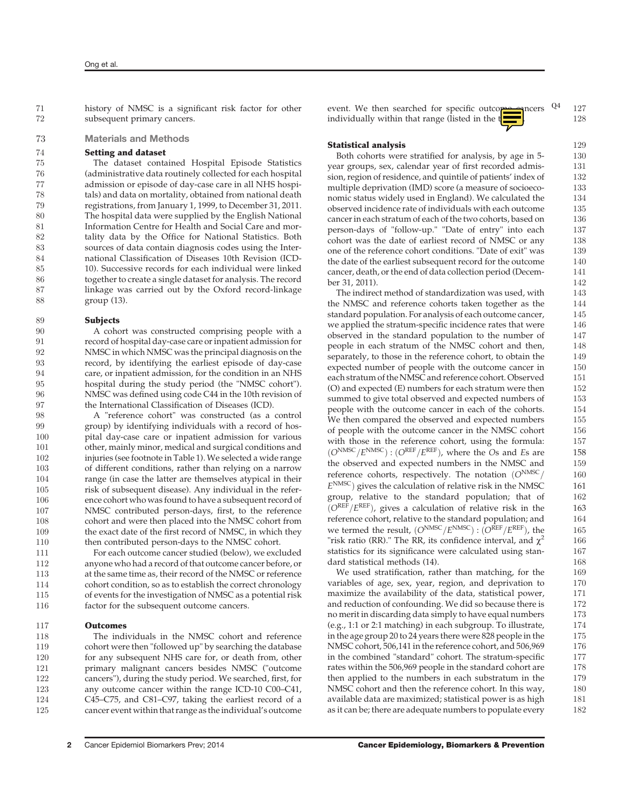71 history of NMSC is a significant risk factor for other 72 subsequent primary cancers.

73 Materials and Methods

### 74 Setting and dataset

 The dataset contained Hospital Episode Statistics (administrative data routinely collected for each hospital admission or episode of day-case care in all NHS hospi- tals) and data on mortality, obtained from national death registrations, from January 1, 1999, to December 31, 2011. The hospital data were supplied by the English National Information Centre for Health and Social Care and mor- tality data by the Office for National Statistics. Both sources of data contain diagnosis codes using the Inter- national Classification of Diseases 10th Revision (ICD- 10). Successive records for each individual were linked together to create a single dataset for analysis. The record linkage was carried out by the Oxford record-linkage group (13).

### 89 Subjects

 A cohort was constructed comprising people with a record of hospital day-case care or inpatient admission for NMSC in which NMSC was the principal diagnosis on the record, by identifying the earliest episode of day-case care, or inpatient admission, for the condition in an NHS hospital during the study period (the "NMSC cohort"). NMSC was defined using code C44 in the 10th revision of the International Classification of Diseases (ICD).

 A "reference cohort" was constructed (as a control group) by identifying individuals with a record of hos- pital day-case care or inpatient admission for various other, mainly minor, medical and surgical conditions and injuries (see footnote in Table 1). We selected a wide range of different conditions, rather than relying on a narrow range (in case the latter are themselves atypical in their risk of subsequent disease). Any individual in the refer- ence cohort who was found to have a subsequent record of NMSC contributed person-days, first, to the reference cohort and were then placed into the NMSC cohort from the exact date of the first record of NMSC, in which they then contributed person-days to the NMSC cohort.

 For each outcome cancer studied (below), we excluded anyone who had a record of that outcome cancer before, or at the same time as, their record of the NMSC or reference cohort condition, so as to establish the correct chronology of events for the investigation of NMSC as a potential risk factor for the subsequent outcome cancers.

#### 117 Outcomes

 The individuals in the NMSC cohort and reference cohort were then "followed up" by searching the database 120 for any subsequent NHS care for, or death from, other primary malignant cancers besides NMSC ("outcome cancers"), during the study period. We searched, first, for any outcome cancer within the range ICD-10 C00–C41, C45–C75, and C81–C97, taking the earliest record of a cancer event within that range as the individual's outcome event. We then searched for specific outcome cancers  $\frac{Q4}{127}$ individually within that range (listed in the  $t = \frac{128}{\pi}$ 

## Statistical analysis 129

Both cohorts were stratified for analysis, by age in 5- 130 year groups, sex, calendar year of first recorded admis- 131 sion, region of residence, and quintile of patients' index of 132 multiple deprivation (IMD) score (a measure of socioeco- 133 nomic status widely used in England). We calculated the 134 observed incidence rate of individuals with each outcome 135 cancer in each stratum of each of the two cohorts, based on 136<br>person-days of "follow-up." "Date of entry" into each 137 person-days of "follow-up." "Date of entry" into each cohort was the date of earliest record of NMSC or any 138 one of the reference cohort conditions. "Date of exit" was 139 the date of the earliest subsequent record for the outcome 140 cancer, death, or the end of data collection period (Decem- 141 ber 31, 2011). 142

The indirect method of standardization was used, with 143 the NMSC and reference cohorts taken together as the 144 standard population. For analysis of each outcome cancer,  $145$ we applied the stratum-specific incidence rates that were 146 observed in the standard population to the number of 147 people in each stratum of the NMSC cohort and then, 148 separately, to those in the reference cohort, to obtain the 149 expected number of people with the outcome cancer in 150 each stratum of the NMSC and reference cohort. Observed 151 (O) and expected (E) numbers for each stratum were then 152 summed to give total observed and expected numbers of 153 people with the outcome cancer in each of the cohorts. 154 We then compared the observed and expected numbers 155 of people with the outcome cancer in the NMSC cohort 156 with those in the reference cohort, using the formula: 157  $(O^{NMSC}/E^{NMSC})$ :  $(O^{REF}/E^{REF})$ , where the Os and Es are 158 the observed and expected numbers in the NMSC and 159 the observed and expected numbers in the NMSC and reference cohorts, respectively. The notation  $(O^{NMSC})$  160  $F^{NMSC}$  is the calculation of relative risk in the NMSC 161  $E<sup>NMSC</sup>$  gives the calculation of relative risk in the NMSC 161 aroup. relative to the standard population: that of 162 group, relative to the standard population; that of  $(\overline{O^{REF}}/\overline{E^{REF}})$ , gives a calculation of relative risk in the 163<br>reference cohort, relative to the standard population: and 164 reference cohort, relative to the standard population; and we termed the result,  $(O^{NMSC}/E^{NMSC})$ :  $(O^{REF}/E^{REF})$ , the 165<br>"risk ratio (RR)." The RR, its confidence interval, and  $\chi^2$  166 "risk ratio (RR)." The RR, its confidence interval, and  $\chi^2$ statistics for its significance were calculated using stan- 167

dard statistical methods (14). 168<br>We used stratification, rather than matching, for the 169 We used stratification, rather than matching, for the variables of age, sex, year, region, and deprivation to 170 maximize the availability of the data, statistical power, 171 and reduction of confounding. We did so because there is 172 no merit in discarding data simply to have equal numbers 173 (e.g., 1:1 or 2:1 matching) in each subgroup. To illustrate, 174 in the age group 20 to 24 years there were 828 people in the 175 NMSC cohort, 506,141 in the reference cohort, and 506,969 176 in the combined "standard" cohort. The stratum-specific 177 rates within the 506,969 people in the standard cohort are 178 then applied to the numbers in each substratum in the 179 NMSC cohort and then the reference cohort. In this way, 180 available data are maximized; statistical power is as high 181 as it can be; there are adequate numbers to populate every 182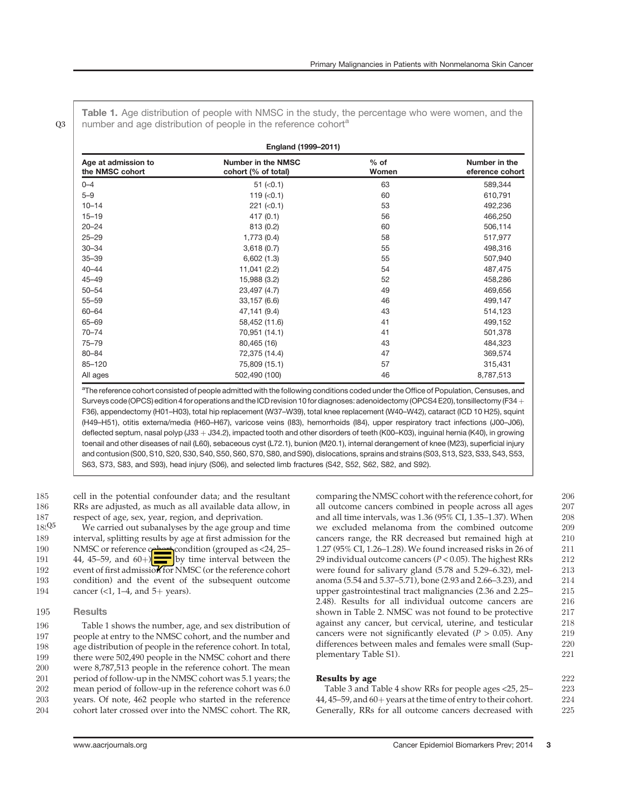Table 1. Age distribution of people with NMSC in the study, the percentage who were women, and the  $\alpha$  | number and age distribution of people in the reference cohort<sup>a</sup>

| England (1999-2011)                    |                                           |                 |                                  |  |
|----------------------------------------|-------------------------------------------|-----------------|----------------------------------|--|
| Age at admission to<br>the NMSC cohort | Number in the NMSC<br>cohort (% of total) | $%$ of<br>Women | Number in the<br>eference cohort |  |
| $0 - 4$                                | $51$ ( $< 0.1$ )                          | 63              | 589,344                          |  |
| $5 - 9$                                | 119 $(0.1)$                               | 60              | 610,791                          |  |
| $10 - 14$                              | $221 (=0.1)$                              | 53              | 492,236                          |  |
| $15 - 19$                              | 417(0.1)                                  | 56              | 466,250                          |  |
| $20 - 24$                              | 813 (0.2)                                 | 60              | 506,114                          |  |
| $25 - 29$                              | 1,773(0.4)                                | 58              | 517,977                          |  |
| $30 - 34$                              | 3,618(0.7)                                | 55              | 498,316                          |  |
| $35 - 39$                              | 6,602(1.3)                                | 55              | 507,940                          |  |
| $40 - 44$                              | 11,041 (2.2)                              | 54              | 487,475                          |  |
| $45 - 49$                              | 15,988 (3.2)                              | 52              | 458,286                          |  |
| $50 - 54$                              | 23,497 (4.7)                              | 49              | 469,656                          |  |
| $55 - 59$                              | 33,157 (6.6)                              | 46              | 499,147                          |  |
| $60 - 64$                              | 47,141 (9.4)                              | 43              | 514,123                          |  |
| 65-69                                  | 58,452 (11.6)                             | 41              | 499,152                          |  |
| $70 - 74$                              | 70,951 (14.1)                             | 41              | 501,378                          |  |
| $75 - 79$                              | 80,465 (16)                               | 43              | 484,323                          |  |
| $80 - 84$                              | 72,375 (14.4)                             | 47              | 369,574                          |  |
| 85-120                                 | 75,809 (15.1)                             | 57              | 315,431                          |  |
| All ages                               | 502,490 (100)                             | 46              | 8,787,513                        |  |

<sup>a</sup>The reference cohort consisted of people admitted with the following conditions coded under the Office of Population, Censuses, and Surveys code (OPCS) edition 4 for operations and the ICD revision 10 for diagnoses: adenoidectomy (OPCS4 E20), tonsillectomy (F34 + F36), appendectomy (H01–H03), total hip replacement (W37–W39), total knee replacement (W40–W42), cataract (ICD 10 H25), squint (H49–H51), otitis externa/media (H60–H67), varicose veins (I83), hemorrhoids (I84), upper respiratory tract infections (J00–J06), deflected septum, nasal polyp (J33 + J34.2), impacted tooth and other disorders of teeth (K00–K03), inguinal hernia (K40), in growing toenail and other diseases of nail (L60), sebaceous cyst (L72.1), bunion (M20.1), internal derangement of knee (M23), superficial injury and contusion (S00, S10, S20, S30, S40, S50, S60, S70, S80, and S90), dislocations, sprains and strains (S03, S13, S23, S33, S43, S53, S63, S73, S83, and S93), head injury (S06), and selected limb fractures (S42, S52, S62, S82, and S92).

185 cell in the potential confounder data; and the resultant 186 RRs are adjusted, as much as all available data allow, in 187 respect of age, sex, year, region, and deprivation.<br> $18\sqrt[10]{5}$  We carried out subanalyses by the age group are

We carried out subanalyses by the age group and time 189 interval, splitting results by age at first admission for the 190 NMSC or reference completes condition (grouped as <24, 25– 191  $\left(44, 45-59, \text{ and } 60+\right)$  by time interval between the 192 event of first admission for NMSC (or the reference cohort 193 condition) and the event of the subsequent outcome 194 cancer  $\langle 1, 1-4, \text{ and } 5+ \text{ years} \rangle$ . cancer  $\left($  <1, 1–4, and 5+ years).

## 195 Results

 Table 1 shows the number, age, and sex distribution of people at entry to the NMSC cohort, and the number and age distribution of people in the reference cohort. In total, there were 502,490 people in the NMSC cohort and there were 8,787,513 people in the reference cohort. The mean 201 period of follow-up in the NMSC cohort was 5.1 years; the<br>202 mean period of follow-up in the reference cohort was 6.0 mean period of follow-up in the reference cohort was 6.0 years. Of note, 462 people who started in the reference cohort later crossed over into the NMSC cohort. The RR,

comparing the NMSC cohort with the reference cohort, for 206 all outcome cancers combined in people across all ages 207 and all time intervals, was 1.36 (95% CI, 1.35–1.37). When 208 we excluded melanoma from the combined outcome 209 cancers range, the RR decreased but remained high at 210 1.27 (95% CI, 1.26–1.28). We found increased risks in 26 of 211 29 individual outcome cancers ( $P < 0.05$ ). The highest RRs 212 were found for salivary gland (5.78 and 5.29–6.32), mel- 213 anoma (5.54 and 5.37–5.71), bone (2.93 and 2.66–3.23), and 2.14<br>upper gastrointestinal tract malignancies (2.36 and 2.25– $\qquad 215$ upper gastrointestinal tract malignancies (2.36 and 2.25– 2.48). Results for all individual outcome cancers are 216 shown in Table 2. NMSC was not found to be protective 217 against any cancer, but cervical, uterine, and testicular 218 cancers were not significantly elevated  $(P > 0.05)$ . Any 219 differences between males and females were small (Sup- 220 plementary Table S1). 221

## Results by age 222

| Table 3 and Table 4 show RRs for people ages <25, 25-              | 223 |
|--------------------------------------------------------------------|-----|
| $44,45$ –59, and $60+$ years at the time of entry to their cohort. | 224 |
| Generally, RRs for all outcome cancers decreased with              | 225 |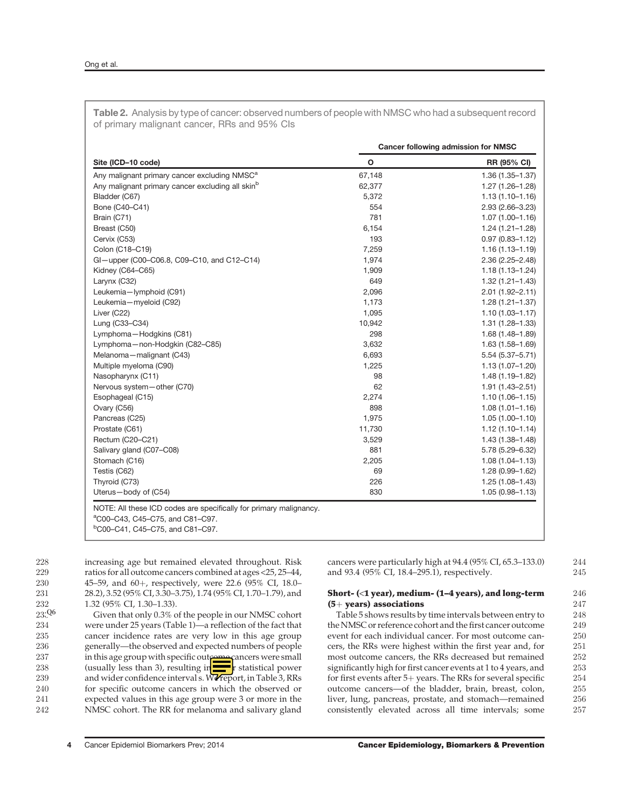of primary malignant cancer, RRs and 95% CIs Cancer following admission for NMSC Site (ICD–10 code) **O** RR (95% CI) Any malignant primary cancer excluding NMSC<sup>a</sup> 67,148 67,148 1.36 (1.35–1.37) Any malignant primary cancer excluding all skin<sup>b</sup> 62,377 62,377 1.27 (1.26–1.28) Bladder (C67) 6,372 1.13 (1.10–1.16) Bone (C40–C41) 554 2.93 (2.66–3.23) Brain (C71) 1.07 (1.00–1.16) 781 1.07 (1.00–1.16) Breast (C50) 6,154 1.24 (1.21–1.28) Cervix (C53) 193 0.97 (0.83–1.12) Colon (C18–C19) 7,259 1.16 (1.13–1.19) GI —upper (C00–C06.8, C09–C10, and C12–C14) 1,974 1,974 2.36 (2.25–2.48) Kidney (C64–C65) 1,909 1.18 (1.13–1.24) Larynx (C32) 649 1.32 (1.21–1.43) Leukemia—lymphoid (C91) 2,096 2.01 (1.92–2.11) Leukemia—myeloid (C92) 1,173 1.28 (1.21–1.37) Liver (C22) 1,095 1.10 (1.03–1.17) Lung (C33–C34) 10,942 1.31 (1.28–1.33) Lymphoma—Hodgkins (C81) 298 298 1.68 (1.48–1.89) Lymphoma—non-Hodgkin (C82–C85) 3,632 1.63 (1.58–1.69) Melanoma—malignant (C43) 6,693 5.54 (5.37–5.71) Multiple myeloma (C90) 1,225 1.13 (1.07–1.20) Nasopharynx (C11) 1.48 (1.19–1.82) 98 1.48 (1.19–1.82) Nervous system—other (C70) 62 1.91 (1.43–2.51) Esophageal (C15) 1.10 (1.06–1.15) Ovary (C56) 898 1.08 (1.01–1.16) Pancreas (C25) 1,975 1.05 (1.00–1.10) Prostate (C61) 11,730 1.12 (1.10–1.14) Rectum (C20–C21) 3,529 1.43 (1.38–1.48) Salivary gland (C07–C08) 6.29–6.32 (5.29–6.32) 6.78 (5.29–6.32 Stomach (C16) 2,205 1.08 (1.04–1.13) Testis (C62) 69 1.28 (0.99–1.62) Thyroid (C73) 226 1.08–1.43) Uterus—body of (C54) 830 830 1.05 (0.98–1.13) NOTE: All these ICD codes are specifically for primary malignancy. a C00–C43, C45–C75, and C81–C97.

Table 2. Analysis by type of cancer: observed numbers of people with NMSC who had a subsequent record

b C00–C41, C45–C75, and C81–C97.

228 increasing age but remained elevated throughout. Risk 229 ratios for all outcome cancers combined at ages <25, 25–44,<br>230 45–59, and 60+, respectively, were 22.6 (95% CI, 18.0– 230 45–59, and 60+, respectively, were 22.6 (95% CI, 18.0–<br>231 28.2).3.52 (95% CI.3.30–3.75).1.74 (95% CI.1.70–1.79). and 231 28.2), 3.52 (95% CI, 3.30–3.75), 1.74 (95% CI, 1.70–1.79), and

<span id="page-3-0"></span>232 1.32 (95% CI, 1.30–1.33).<br>23:06 Given that only 0.3% c Given that only 0.3% of the people in our NMSC cohort 234 [were under 25 years \(Table 1\)—a reflection of the fact that](#page-3-0) 235 cancer incidence rates are very low in this age group 236 generally—the observed and expected numbers of people 237 in this age group with specific out<del>come c</del>ancers were small 238 (usually less than 3), resulting in **Exercise 1** statistical power 239 and wider confidence interval s. We report, in Table 3, RRs 240 for specific outcome cancers in which the observed or 241 expected values in this age group were 3 or more in the 242 NMSC cohort. The RR for melanoma and salivary gland

cancers were particularly high at 94.4 (95% CI, 65.3–133.0) 244 and 93.4 (95% CI, 18.4–295.1), respectively. 245

## Short- (<1 year), medium- (1-4 years), and long-term  $246$  $(5 + \text{years})$  associations 247<br>Table 5 shows results by time intervals between entry to 248

Table 5 shows results by time intervals between entry to the NMSC or reference cohort and the first cancer outcome 249 event for each individual cancer. For most outcome can- 250 cers, the RRs were highest within the first year and, for 251 most outcome cancers, the RRs decreased but remained 252 significantly high for first cancer events at 1 to 4 years, and 253 for first events after  $5+$  years. The RRs for several specific  $254$ <br>outcome cancers—of the bladder brain breast colon  $255$ outcome cancers—of the bladder, brain, breast, colon, liver, lung, pancreas, prostate, and stomach—remained 256 consistently elevated across all time intervals; some 257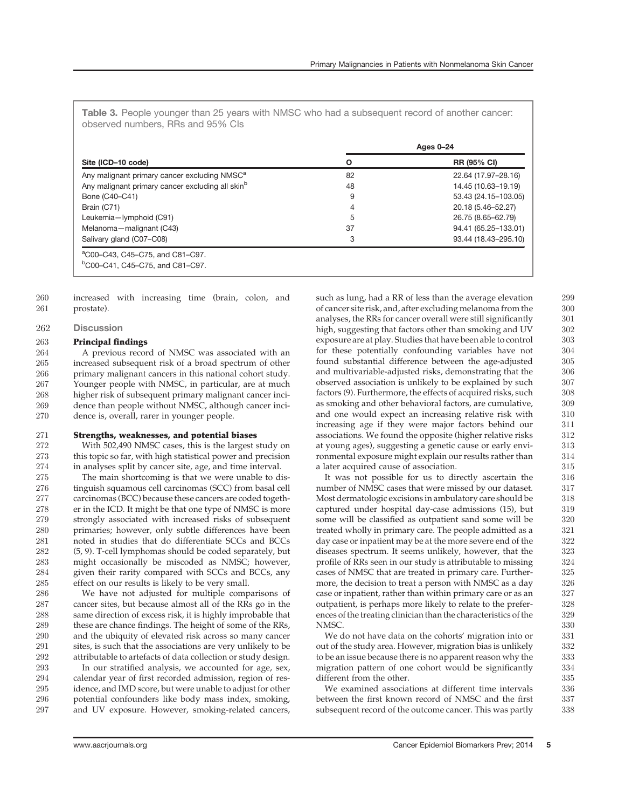Table 3. People younger than 25 years with NMSC who had a subsequent record of another cancer: observed numbers, RRs and 95% CIs Ages 0–24 Site (ICD–10 code) and the control of the control of the control of the control of the control of the control of the control of the control of the control of the control of the control of the control of the control of the Any malignant primary cancer excluding NMSC<sup>a</sup> 82 82 22.64 (17.97–28.16) Any malignant primary cancer excluding all skin<sup>b</sup> 48 14.45 (10.63–19.19) Bone (C40–C41) 9 53.43 (24.15–103.05) Brain (C71) 4 20.18 (5.46–52.27) Leukemia—lymphoid (C91) 5 26.75 (8.65–62.79) Melanoma—malignant (C43) 37 94.41 (65.25–133.01) Salivary gland (C07–C08) 3 93.44 (18.43–295.10) a C00–C43, C45–C75, and C81–C97. b C00–C41, C45–C75, and C81–C97.

260 increased with increasing time (brain, colon, and 261 prostate) prostate).

## 262 Discussion

## 263 Principal findings

 A previous record of NMSC was associated with an increased subsequent risk of a broad spectrum of other primary malignant cancers in this national cohort study. Younger people with NMSC, in particular, are at much higher risk of subsequent primary malignant cancer inci- dence than people without NMSC, although cancer inci-dence is, overall, rarer in younger people.

## 271 Strengths, weaknesses, and potential biases

272 With 502,490 NMSC cases, this is the largest study on 273 this topic so far, with high statistical power and precision 274 in analyses split by cancer site, age, and time interval.

 The main shortcoming is that we were unable to dis-276 tinguish squamous cell carcinomas (SCC) from basal cell carcinomas (BCC) because these cancers are coded togeth- er in the ICD. It might be that one type of NMSC is more strongly associated with increased risks of subsequent primaries; however, only subtle differences have been noted in studies that do differentiate SCCs and BCCs (5, 9). T-cell lymphomas should be coded separately, but might occasionally be miscoded as NMSC; however, 284 given their rarity compared with SCCs and BCCs, any<br>285 effect on our results is likely to be very small. effect on our results is likely to be very small.

 We have not adjusted for multiple comparisons of cancer sites, but because almost all of the RRs go in the same direction of excess risk, it is highly improbable that 289 these are chance findings. The height of some of the RRs, and the ubiquity of elevated risk across so many cancer sites, is such that the associations are very unlikely to be attributable to artefacts of data collection or study design.

293 In our stratified analysis, we accounted for age, sex, 294 calendar year of first recorded admission, region of res-<br>295 idence, and IMD score, but were unable to adjust for other idence, and IMD score, but were unable to adjust for other 296 potential confounders like body mass index, smoking, 297 and UV exposure. However, smoking-related cancers, such as lung, had a RR of less than the average elevation 299<br>of cancer site risk and after excluding melanoma from the 300 of cancer site risk, and, after excluding melanoma from the analyses, the RRs for cancer overall were still significantly  $301$ <br>high, suggesting that factors other than smoking and UV  $302$ high, suggesting that factors other than smoking and UV exposure are at play. Studies that have been able to control 303 for these potentially confounding variables have not 304 found substantial difference between the age-adjusted 305 and multivariable-adjusted risks, demonstrating that the 306 observed association is unlikely to be explained by such 307 factors (9). Furthermore, the effects of acquired risks, such 308 as smoking and other behavioral factors, are cumulative, 309 and one would expect an increasing relative risk with 310 increasing age if they were major factors behind our 311 associations. We found the opposite (higher relative risks 312 at young ages), suggesting a genetic cause or early envi- 313 ronmental exposure might explain our results rather than 314 a later acquired cause of association.  $315$ 

It was not possible for us to directly ascertain the 316 number of NMSC cases that were missed by our dataset.  $317$ Most dermatologic excisions in ambulatory care should be  $318$ captured under hospital day-case admissions (15), but 319 some will be classified as outpatient sand some will be 320 treated wholly in primary care. The people admitted as a 321 day case or inpatient may be at the more severe end of the 322 diseases spectrum. It seems unlikely, however, that the 323 profile of RRs seen in our study is attributable to missing 324 cases of NMSC that are treated in primary care. Further-<br>more, the decision to treat a person with NMSC as a day 326 more, the decision to treat a person with NMSC as a day case or inpatient, rather than within primary care or as an 327 outpatient, is perhaps more likely to relate to the prefer- 328 ences of the treating clinician than the characteristics of the 329 NMSC. 330

We do not have data on the cohorts' migration into or 331 out of the study area. However, migration bias is unlikely 332 to be an issue because there is no apparent reason why the 333 migration pattern of one cohort would be significantly 334 different from the other. 335

We examined associations at different time intervals 336 between the first known record of NMSC and the first 337 subsequent record of the outcome cancer. This was partly 338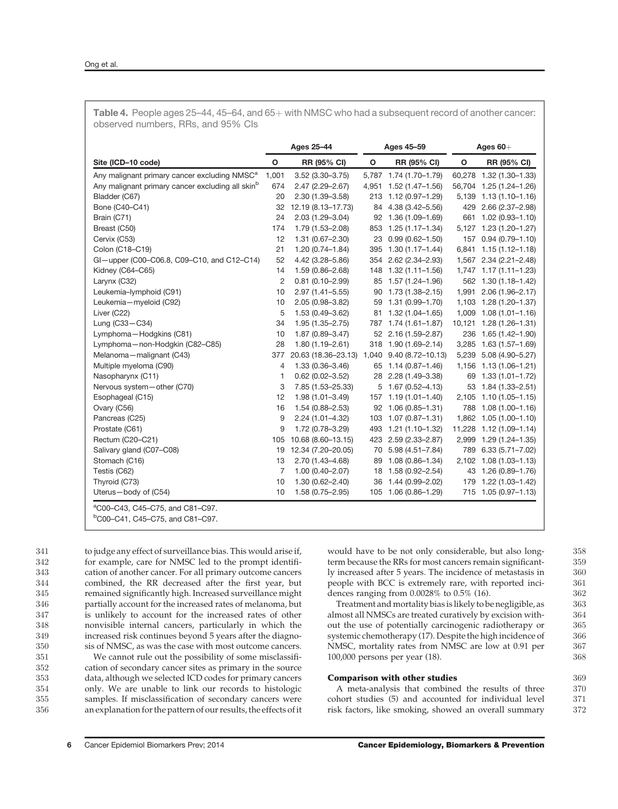Table 4. People ages  $25-44$ ,  $45-64$ , and  $65+$  with NMSC who had a subsequent record of another cancer: observed numbers, RRs, and 95% CIs

|                                                              |              | Ages 25-44          |              | Ages 45-59              |     | Ages $60+$                 |
|--------------------------------------------------------------|--------------|---------------------|--------------|-------------------------|-----|----------------------------|
| Site (ICD-10 code)                                           | $\mathbf{o}$ | <b>RR (95% CI)</b>  | $\mathbf{o}$ | <b>RR (95% CI)</b>      | O   | RR (95% CI)                |
| Any malignant primary cancer excluding NMSC <sup>a</sup>     | 1,001        | $3.52(3.30 - 3.75)$ |              | 5,787 1.74 (1.70-1.79)  |     | 60,278 1.32 (1.30-1.33)    |
| Any malignant primary cancer excluding all skin <sup>b</sup> | 674          | $2.47(2.29 - 2.67)$ | 4,951        | $1.52(1.47 - 1.56)$     |     | 56,704 1.25 (1.24-1.26)    |
| Bladder (C67)                                                | 20           | 2.30 (1.39-3.58)    | 213          | 1.12 (0.97-1.29)        |     | 5,139 1.13 (1.10-1.16)     |
| Bone (C40-C41)                                               | 32           | 12.19 (8.13-17.73)  |              | 84 4.38 (3.42-5.56)     |     | 429 2.66 (2.37-2.98)       |
| Brain (C71)                                                  | 24           | 2.03 (1.29-3.04)    |              | 92 1.36 (1.09-1.69)     | 661 | $1.02(0.93 - 1.10)$        |
| Breast (C50)                                                 | 174          | 1.79 (1.53-2.08)    |              | 853 1.25 (1.17-1.34)    |     | 5,127 1.23 (1.20-1.27)     |
| Cervix (C53)                                                 | 12           | $1.31(0.67 - 2.30)$ |              | 23 0.99 (0.62-1.50)     |     | 157 0.94 (0.79-1.10)       |
| Colon (C18-C19)                                              | 21           | $1.20(0.74 - 1.84)$ |              | 395 1.30 (1.17-1.44)    |     | 6,841 1.15 (1.12-1.18)     |
| GI-upper (C00-C06.8, C09-C10, and C12-C14)                   | 52           | 4.42 (3.28-5.86)    |              | 354 2.62 (2.34-2.93)    |     | 1,567 2.34 (2.21-2.48)     |
| Kidney (C64-C65)                                             | 14           | 1.59 (0.86-2.68)    | 148          | $1.32(1.11 - 1.56)$     |     | 1,747 1.17 (1.11-1.23)     |
| Larynx (C32)                                                 | 2            | $0.81(0.10 - 2.99)$ | 85           | 1.57 (1.24-1.96)        |     | 562 1.30 (1.18-1.42)       |
| Leukemia-lymphoid (C91)                                      | 10           | $2.97(1.41 - 5.55)$ | 90           | $1.73(1.38 - 2.15)$     |     | 1,991 2.06 (1.96-2.17)     |
| Leukemia-myeloid (C92)                                       | 10           | 2.05 (0.98-3.82)    | 59           | 1.31 (0.99-1.70)        |     | 1,103 1.28 (1.20-1.37)     |
| Liver (C22)                                                  | 5            | $1.53(0.49 - 3.62)$ | 81           | $1.32(1.04 - 1.65)$     |     | $1,009$ 1.08 $(1.01-1.16)$ |
| Lung (C33-C34)                                               | 34           | $1.95(1.35 - 2.75)$ | 787          | 1.74 (1.61-1.87)        |     | 10,121 1.28 (1.26-1.31)    |
| Lymphoma-Hodgkins (C81)                                      | 10           | $1.87(0.89 - 3.47)$ |              | 52 2.16 (1.59-2.87)     |     | 236 1.65 (1.42-1.90)       |
| Lymphoma-non-Hodgkin (C82-C85)                               | 28           | $1.80(1.19 - 2.61)$ |              | 318 1.90 (1.69-2.14)    |     | 3,285 1.63 (1.57-1.69)     |
| Melanoma-malignant (C43)                                     | 377          | 20.63 (18.36-23.13) |              | 1,040 9.40 (8.72-10.13) |     | 5,239 5.08 (4.90-5.27)     |
| Multiple myeloma (C90)                                       | 4            | $1.33(0.36 - 3.46)$ | 65           | $1.14(0.87 - 1.46)$     |     | 1,156 1.13 (1.06-1.21)     |
| Nasopharynx (C11)                                            | 1            | $0.62(0.02 - 3.52)$ |              | 28 2.28 (1.49-3.38)     |     | 69 1.33 (1.01-1.72)        |
| Nervous system-other (C70)                                   | 3            | 7.85 (1.53-25.33)   |              | $5$ 1.67 (0.52-4.13)    |     | 53 1.84 (1.33-2.51)        |
| Esophageal (C15)                                             | 12           | $1.98(1.01 - 3.49)$ |              | 157 1.19 (1.01-1.40)    |     | 2,105 1.10 (1.05-1.15)     |
| Ovary (C56)                                                  | 16           | $1.54(0.88 - 2.53)$ |              | 92 1.06 (0.85-1.31)     |     | 788 1.08 (1.00-1.16)       |
| Pancreas (C25)                                               | 9            | $2.24(1.01 - 4.32)$ |              | 103 1.07 (0.87-1.31)    |     | 1,862 1.05 (1.00-1.10)     |
| Prostate (C61)                                               | 9            | 1.72 (0.78-3.29)    |              | 493 1.21 (1.10-1.32)    |     | 11,228 1.12 (1.09-1.14)    |
| Rectum (C20-C21)                                             | 105          | 10.68 (8.60-13.15)  |              | 423 2.59 (2.33-2.87)    |     | 2,999 1.29 (1.24-1.35)     |
| Salivary gland (C07-C08)                                     | 19           | 12.34 (7.20-20.05)  | 70           | 5.98 (4.51-7.84)        |     | 789 6.33 (5.71-7.02)       |
| Stomach (C16)                                                | 13           | 2.70 (1.43-4.68)    | 89           | $1.08(0.86 - 1.34)$     |     | 2,102 1.08 (1.03-1.13)     |
| Testis (C62)                                                 | 7            | $1.00(0.40 - 2.07)$ | 18           | 1.58 (0.92-2.54)        |     | 43 1.26 (0.89-1.76)        |
| Thyroid (C73)                                                | 10           | $1.30(0.62 - 2.40)$ | 36           | 1.44 (0.99-2.02)        | 179 | 1.22 (1.03-1.42)           |
| Uterus-body of (C54)                                         | 10           | $1.58(0.75 - 2.95)$ |              | 105 1.06 (0.86-1.29)    |     | 715 1.05 (0.97-1.13)       |
| <sup>a</sup> C00-C43, C45-C75, and C81-C97.                  |              |                     |              |                         |     |                            |

b C00–C41, C45–C75, and C81–C97.

 to judge any effect of surveillance bias. This would arise if, for example, care for NMSC led to the prompt identifi-343 cation of another cancer. For all primary outcome cancers<br>344 combined, the RR decreased after the first year, but combined, the RR decreased after the first year, but remained significantly high. Increased surveillance might partially account for the increased rates of melanoma, but is unlikely to account for the increased rates of other nonvisible internal cancers, particularly in which the increased risk continues beyond 5 years after the diagno-sis of NMSC, as was the case with most outcome cancers.

 We cannot rule out the possibility of some misclassifi- cation of secondary cancer sites as primary in the source data, although we selected ICD codes for primary cancers only. We are unable to link our records to histologic samples. If misclassification of secondary cancers were an explanation for the pattern of our results, the effects of it would have to be not only considerable, but also long- 358 term because the RRs for most cancers remain significant- 359 ly increased after 5 years. The incidence of metastasis in 360 people with BCC is extremely rare, with reported incidences ranging from 0.0028% to 0.5% (16).  $\frac{362}{362}$ <br>Treatment and mortality bias is likely to be negligible, as 363

Treatment and mortality bias is likely to be negligible, as 363 almost all NMSCs are treated curatively by excision with- 364 out the use of potentially carcinogenic radiotherapy or 365 systemic chemotherapy (17). Despite the high incidence of 366 NMSC, mortality rates from NMSC are low at 0.91 per 367 100,000 persons per year (18). 368

### **Comparison with other studies** 369

A meta-analysis that combined the results of three 370 cohort studies (5) and accounted for individual level 371 risk factors, like smoking, showed an overall summary 372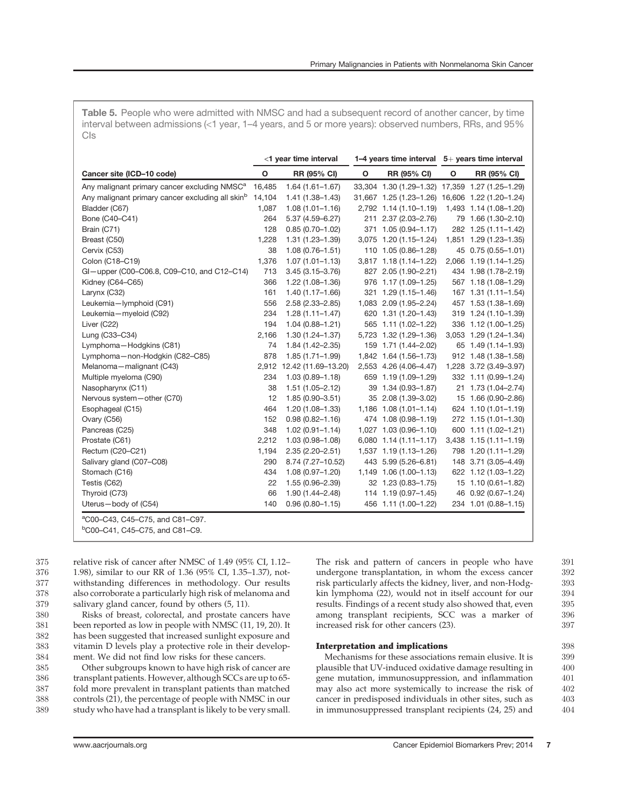Table 5. People who were admitted with NMSC and had a subsequent record of another cancer, by time interval between admissions (<1 year, 1–4 years, and 5 or more years): observed numbers, RRs, and 95% CIs

|                                                                             |              | <1 year time interval |             | 1–4 years time interval $5+$ years time interval |              |                        |
|-----------------------------------------------------------------------------|--------------|-----------------------|-------------|--------------------------------------------------|--------------|------------------------|
| Cancer site (ICD-10 code)                                                   | $\mathbf{o}$ | RR (95% CI)           | $\mathbf O$ | <b>RR (95% CI)</b>                               | $\mathbf{o}$ | <b>RR (95% CI)</b>     |
| Any malignant primary cancer excluding NMSC <sup>a</sup>                    | 16,485       | $1.64(1.61 - 1.67)$   |             | 33,304 1.30 (1.29-1.32) 17,359 1.27 (1.25-1.29)  |              |                        |
| Any malignant primary cancer excluding all skin <sup>b</sup>                | 14,104       | $1.41(1.38 - 1.43)$   |             | 31,667 1.25 (1.23-1.26) 16,606 1.22 (1.20-1.24)  |              |                        |
| Bladder (C67)                                                               | 1,087        | $1.08(1.01 - 1.16)$   |             | 2,792 1.14 (1.10-1.19)                           |              | 1,493 1.14 (1.08-1.20) |
| Bone (C40-C41)                                                              | 264          | $5.37(4.59 - 6.27)$   |             | 211 2.37 (2.03-2.76)                             |              | 79 1.66 (1.30-2.10)    |
| Brain (C71)                                                                 | 128          | $0.85(0.70 - 1.02)$   |             | 371 1.05 (0.94-1.17)                             |              | 282 1.25 (1.11-1.42)   |
| Breast (C50)                                                                | 1,228        | $1.31(1.23 - 1.39)$   |             | 3,075 1.20 (1.15-1.24)                           |              | 1,851 1.29 (1.23-1.35) |
| Cervix (C53)                                                                | 38           | $1.08(0.76 - 1.51)$   |             | 110 1.05 (0.86-1.28)                             |              | 45 0.75 (0.55-1.01)    |
| Colon (C18-C19)                                                             | 1,376        | $1.07(1.01 - 1.13)$   |             | 3,817 1.18 (1.14-1.22)                           |              | 2,066 1.19 (1.14-1.25) |
| GI-upper (C00-C06.8, C09-C10, and C12-C14)                                  | 713          | $3.45(3.15 - 3.76)$   |             | 827 2.05 (1.90-2.21)                             |              | 434 1.98 (1.78-2.19)   |
| Kidney (C64-C65)                                                            | 366          | $1.22(1.08 - 1.36)$   |             | 976 1.17 (1.09-1.25)                             |              | 567 1.18 (1.08-1.29)   |
| Larynx (C32)                                                                | 161          | $1.40(1.17-1.66)$     |             | 321 1.29 (1.15-1.46)                             |              | 167 1.31 (1.11-1.54)   |
| Leukemia-lymphoid (C91)                                                     | 556          | $2.58(2.33 - 2.85)$   |             | 1,083 2.09 (1.95-2.24)                           |              | 457 1.53 (1.38-1.69)   |
| Leukemia-myeloid (C92)                                                      | 234          | $1.28(1.11 - 1.47)$   |             | 620 1.31 (1.20-1.43)                             |              | 319 1.24 (1.10-1.39)   |
| Liver (C22)                                                                 | 194          | $1.04(0.88 - 1.21)$   |             | 565 1.11 (1.02-1.22)                             |              | 336 1.12 (1.00-1.25)   |
| Lung (C33-C34)                                                              | 2,166        | $1.30(1.24 - 1.37)$   |             | 5,723 1.32 (1.29-1.36)                           |              | 3,053 1.29 (1.24-1.34) |
| Lymphoma-Hodgkins (C81)                                                     | 74           | $1.84(1.42 - 2.35)$   |             | 159 1.71 (1.44-2.02)                             |              | 65 1.49 (1.14-1.93)    |
| Lymphoma-non-Hodgkin (C82-C85)                                              | 878          | $1.85(1.71 - 1.99)$   |             | 1,842 1.64 (1.56-1.73)                           |              | 912 1.48 (1.38-1.58)   |
| Melanoma-malignant (C43)                                                    | 2,912        | 12.42 (11.69-13.20)   |             | 2,553 4.26 (4.06-4.47)                           |              | 1,228 3.72 (3.49-3.97) |
| Multiple myeloma (C90)                                                      | 234          | $1.03(0.89 - 1.18)$   |             | 659 1.19 (1.09-1.29)                             |              | 332 1.11 (0.99-1.24)   |
| Nasopharynx (C11)                                                           | 38           | $1.51(1.05 - 2.12)$   |             | 39 1.34 (0.93-1.87)                              |              | 21 1.73 (1.04-2.74)    |
| Nervous system-other (C70)                                                  | 12           | $1.85(0.90 - 3.51)$   |             | 35 2.08 (1.39-3.02)                              |              | 15 1.66 (0.90-2.86)    |
| Esophageal (C15)                                                            | 464          | $1.20(1.08 - 1.33)$   |             | 1,186 1.08 (1.01-1.14)                           |              | 624 1.10 (1.01-1.19)   |
| Ovary (C56)                                                                 | 152          | $0.98(0.82 - 1.16)$   |             | 474 1.08 (0.98-1.19)                             |              | 272 1.15 (1.01-1.30)   |
| Pancreas (C25)                                                              | 348          | $1.02(0.91 - 1.14)$   |             | 1,027 1.03 (0.96-1.10)                           |              | 600 1.11 (1.02-1.21)   |
| Prostate (C61)                                                              | 2,212        | $1.03(0.98 - 1.08)$   |             | $6,080$ 1.14 $(1.11-1.17)$                       |              | 3,438 1.15 (1.11-1.19) |
| Rectum (C20-C21)                                                            | 1,194        | $2.35(2.20 - 2.51)$   |             | 1,537 1.19 (1.13-1.26)                           |              | 798 1.20 (1.11-1.29)   |
| Salivary gland (C07-C08)                                                    | 290          | 8.74 (7.27-10.52)     |             | 443 5.99 (5.26-6.81)                             |              | 148 3.71 (3.05-4.49)   |
| Stomach (C16)                                                               | 434          | $1.08(0.97 - 1.20)$   |             | 1,149 1.06 (1.00-1.13)                           |              | 622 1.12 (1.03-1.22)   |
| Testis (C62)                                                                | 22           | 1.55 (0.96-2.39)      |             | 32 1.23 (0.83-1.75)                              |              | 15 1.10 (0.61-1.82)    |
| Thyroid (C73)                                                               | 66           | $1.90(1.44 - 2.48)$   |             | 114 1.19 (0.97-1.45)                             |              | 46 0.92 (0.67-1.24)    |
| Uterus-body of (C54)                                                        | 140          | $0.96(0.80 - 1.15)$   |             | 456 1.11 (1.00-1.22)                             |              | 234 1.01 (0.88-1.15)   |
| <sup>a</sup> C00-C43, C45-C75, and C81-C97.<br>hono 0.44 0.45 0.75 1.004 00 |              |                       |             |                                                  |              |                        |

b C00–C41, C45–C75, and C81–C9.

375 relative risk of cancer after NMSC of 1.49 (95% CI, 1.12– 376 1.98), similar to our RR of 1.36 (95% CI, 1.35–1.37), notwithstanding differences in methodology. Our results 378 also corroborate a particularly high risk of melanoma and<br>379 salivary gland cancer, found by others (5, 11). salivary gland cancer, found by others  $(5, 11)$ .

 Risks of breast, colorectal, and prostate cancers have been reported as low in people with NMSC (11, 19, 20). It has been suggested that increased sunlight exposure and vitamin D levels play a protective role in their develop-ment. We did not find low risks for these cancers.

385 Other subgroups known to have high risk of cancer are 386 transplant patients. However, although SCCs are up to 65-<br>387 fold more prevalent in transplant patients than matched fold more prevalent in transplant patients than matched 388 controls (21), the percentage of people with NMSC in our 389 study who have had a transplant is likely to be very small.

The risk and pattern of cancers in people who have 391 undergone transplantation, in whom the excess cancer 392 undergone transplantation, in whom the excess cancer 392<br>risk particularly affects the kidney, liver, and non-Hodg- 393 risk particularly affects the kidney, liver, and non-Hodgkin lymphoma (22), would not in itself account for our 394<br>results. Findings of a recent study also showed that, even 395 results. Findings of a recent study also showed that, even among transplant recipients, SCC was a marker of 396 increased risk for other cancers (23).  $397$ 

## Interpretation and implications **398**

Mechanisms for these associations remain elusive. It is 399 plausible that UV-induced oxidative damage resulting in 400 gene mutation, immunosuppression, and inflammation 401 may also act more systemically to increase the risk of 402 may also act more systemically to increase the risk of cancer in predisposed individuals in other sites, such as 403 in immunosuppressed transplant recipients (24, 25) and 404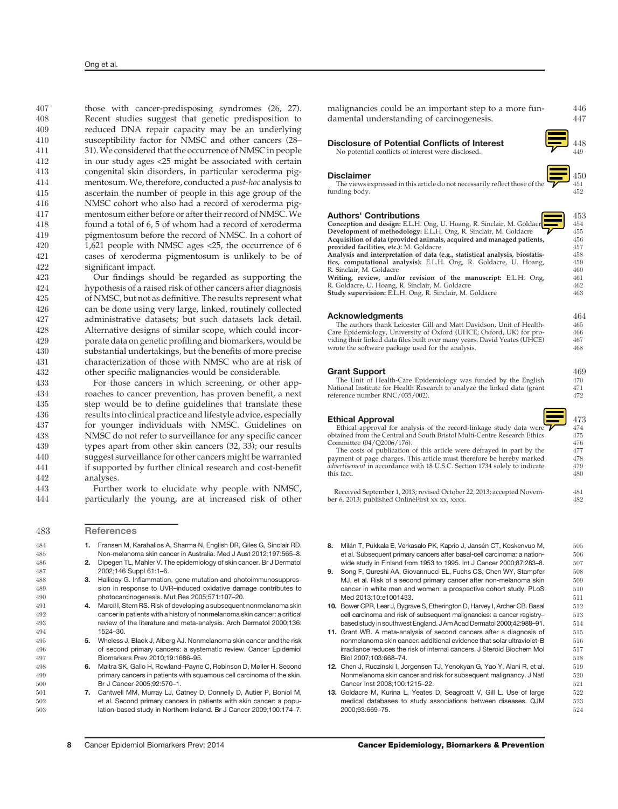those with cancer-predisposing syndromes (26, 27). Recent studies suggest that genetic predisposition to reduced DNA repair capacity may be an underlying susceptibility factor for NMSC and other cancers (28– 31). We considered that the occurrence of NMSC in people in our study ages <25 might be associated with certain congenital skin disorders, in particular xeroderma pig- mentosum. We, therefore, conducted a post-hoc analysis to ascertain the number of people in this age group of the NMSC cohort who also had a record of xeroderma pig- mentosum either before or after their record of NMSC. We found a total of 6, 5 of whom had a record of xeroderma pigmentosum before the record of NMSC. In a cohort of  $1,621$  people with NMSC ages <25, the occurrence of 6 cases of xeroderma pigmentosum is unlikely to be of significant impact.

 Our findings should be regarded as supporting the hypothesis of a raised risk of other cancers after diagnosis of NMSC, but not as definitive. The results represent what can be done using very large, linked, routinely collected administrative datasets; but such datasets lack detail. Alternative designs of similar scope, which could incor- porate data on genetic profiling and biomarkers, would be substantial undertakings, but the benefits of more precise characterization of those with NMSC who are at risk of other specific malignancies would be considerable.

 For those cancers in which screening, or other app- roaches to cancer prevention, has proven benefit, a next step would be to define guidelines that translate these results into clinical practice and lifestyle advice, especially for younger individuals with NMSC. Guidelines on NMSC do not refer to surveillance for any specific cancer types apart from other skin cancers (32, 33); our results suggest surveillance for other cancers might be warranted if supported by further clinical research and cost-benefit analyses.

443 Further work to elucidate why people with NMSC, 444 particularly the young, are at increased risk of other

483 References

- 484 1. Fransen M, Karahalios A, Sharma N, English DR, Giles G, Sinclair RD. 485 Non-melanoma skin cancer in Australia. Med J Aust 2012;197:565–8.
- 486 2. Dipegen TL, Mahler V. The epidemiology of skin cancer. Br J Dermatol 487 2002;146 Suppl 61:1–6.
- 488 3. Halliday G. Inflammation, gene mutation and photoimmunosuppres-489 sion in response to UVR–induced oxidative damage contributes to 490 photocarcinogenesis. Mut Res 2005;571:107–20.
- 491 4. Marcil I, Stern RS. Risk of developing a subsequent nonmelanoma skin 492 cancer in patients with a history of nonmelanoma skin cancer: a critical 493 review of the literature and meta-analysis. Arch Dermatol 2000;136: 494 1524–30.
- 495 5. Wheless J, Black J, Alberg AJ. Nonmelanoma skin cancer and the risk 496 of second primary cancers: a systematic review. Cancer Epidemiol 497 Biomarkers Prev 2010;19:1686–95.
- 498 6. Maitra SK, Gallo H, Rowland–Payne C, Robinson D, Møller H. Second 499 primary cancers in patients with squamous cell carcinoma of the skin. 500 Br J Cancer 2005;92:570–1.
- 501 7. Cantwell MM, Murray LJ, Catney D, Donnelly D, Autier P, Boniol M, 502 et al. Second primary cancers in patients with skin cancer: a popu-503 lation-based study in Northern Ireland. Br J Cancer 2009;100:174–7.

| damental understanding of carcinogenesis.                                                                  | 447 |
|------------------------------------------------------------------------------------------------------------|-----|
| <b>Disclosure of Potential Conflicts of Interest</b><br>No potential conflicts of interest were disclosed. | 448 |
| <b>Disclaimer</b>                                                                                          | 450 |
| The views expressed in this article do not necessarily reflect those of the                                | 451 |
| funding body.                                                                                              | 452 |
| <b>Authors' Contributions</b>                                                                              | 453 |
| Conception and design: E.L.H. Ong, U. Hoang, R. Sinclair, M. Goldacr                                       | 454 |
| Development of methodology: E.L.H. Ong, R. Sinclair, M. Goldacre                                           | 455 |
| Acquisition of data (provided animals, acquired and managed patients,                                      | 456 |
| provided facilities, etc.): M. Goldacre                                                                    | 457 |
| Analysis and interpretation of data (e.g., statistical analysis, biostatis-                                | 458 |
| tics, computational analysis): E.L.H. Ong, R. Goldacre, U. Hoang,                                          | 459 |
| R. Sinclair, M. Goldacre                                                                                   | 460 |
| Writing, review, and/or revision of the manuscript: E.L.H. Ong,                                            | 461 |
| R. Goldacre, U. Hoang, R. Sinclair, M. Goldacre                                                            | 462 |
| Study supervision: E.L.H. Ong, R. Sinclair, M. Goldacre                                                    | 463 |

malignancies could be an important step to a more fun- 446

**Acknowledgments** 464<br>The authors thank Leicester Gill and Matt Davidson. Unit of Health- 465 The authors thank Leicester Gill and Matt Davidson, Unit of Health-Care Epidemiology, University of Oxford (UHCE; Oxford, UK) for pro-<br>viding their linked data files built over many years. David Yeates (UHCE) 467 viding their linked data files built over many years. David Yeates (UHCE) 467 wrote the software package used for the analysis. 468 wrote the software package used for the analysis.

Grant Support 469<br>The Unit of Health-Care Epidemiology was funded by the English 470 National Institute for Health Research to analyze the linked data (grant 471 reference number RNC/035/002). 472

**Ethical Approval** for analysis of the record-linkage study data were  $\overline{V}$  474 474 Ethical approval for analysis of the record-linkage study data were  $\overline{V}$  474 obtained from the Central and South Bristol Multi-Centre Research Ethics 475 Committee (04/Q2006/176). 476<br>The costs of publication of this article were defraved in part by the 477

The costs of publication of this article were defrayed in part by the 477<br>wment of page charges. This article must therefore be hereby marked 478 payment of page charges. This article must therefore be hereby marked 478 advertisement in accordance with 18 U.S.C. Section 1734 solely to indicate 479 advertisement in accordance with 18 U.S.C. Section 1734 solely to indicate 479<br>this fact. 480 this fact. 480

Received September 1, 2013; revised October 22, 2013; accepted Novem-<br>281 er 6. 2013: published OnlineFirst xx xx, xxxx. ber 6, 2013; published OnlineFirst xx xx, xxxx.

- 8. Milán T, Pukkala E, Verkasalo PK, Kaprio J, Jansén CT, Koskenvuo M,  $\qquad 505$ et al. Subsequent primary cancers after basal-cell carcinoma: a nation- 506 wide study in Finland from 1953 to 1995. Int J Cancer 2000;87:283-8. 507<br>Song F. Qureshi AA. Giovannucci EL. Fuchs CS. Chen WY. Stampfer 508
- 9. Song F, Qureshi AA, Giovannucci EL, Fuchs CS, Chen WY, Stampfer MJ, et al. Risk of a second primary cancer after non-melanoma skin  $509$ cancer in white men and women: a prospective cohort study. PLoS  $510$ Med 2013;10:e1001433. 511
- 10. Bower CPR, Lear J, Bygrave S, Etherington D, Harvey I, Archer CB. Basal  $512$ cell carcinoma and risk of subsequent malignancies: a cancer registry– 513 based study in southwest England. J Am Acad Dermatol 2000;42:988-91.  $514$
- 11. Grant WB. A meta-analysis of second cancers after a diagnosis of  $515$ nonmelanoma skin cancer: additional evidence that solar ultraviolet-B  $516$ irradiance reduces the risk of internal cancers. J Steroid Biochem Mol 617 Biol 2007;103:668–74. 518
- 12. Chen J, Ruczinski I, Jorgensen TJ, Yenokyan G, Yao Y, Alani R, et al.  $519$ Nonmelanoma skin cancer and risk for subsequent malignancy. J Natl 520 Cancer Inst 2008;100:1215–22. 521
- 13. Goldacre M, Kurina L, Yeates D, Seagroatt V, Gill L. Use of large 522 medical databases to study associations between diseases. QJM 523 2000;93:669–75. 524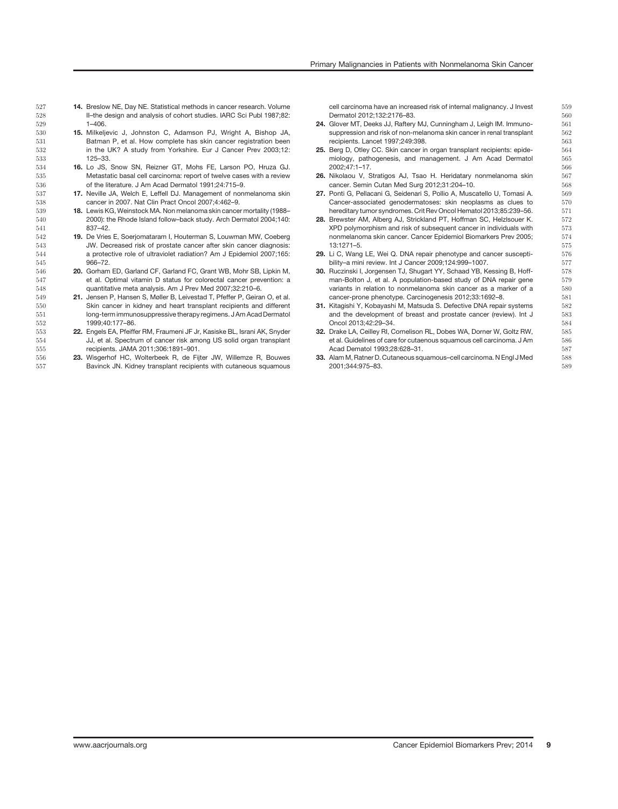- 527 **14.** Breslow NE, Day NE. Statistical methods in cancer research. Volume 528 **11.** The design and analysis of cohort studies. IARC Sci Publ 1987;82: 528 II–the design and analysis of cohort studies. IARC Sci Publ 1987;82:<br>529 1–406. 529 1–406.<br>530 **15.** Milkeli
- 15. Milkelievic J. Johnston C. Adamson PJ, Wright A, Bishop JA, 531 Batman P, et al. How complete has skin cancer registration been<br>532 in the UK? A study from Yorkshire Fur J Cancer Prey 2003:12 532 in the UK? A study from Yorkshire. Eur J Cancer Prev 2003;12:<br>533 125-33. 533 125–33.<br>534 **16.** Lo JS.
- 16. Lo JS, Snow SN, Reizner GT, Mohs FE, Larson PO, Hruza GJ. 535 Metastatic basal cell carcinoma: report of twelve cases with a review 536 of the literature. J Am Acad Dermatol 1991;24:715–9.
- 537 17. Neville JA, Welch E, Leffell DJ. Management of nonmelanoma skin 538 cancer in 2007. Nat Clin Pract Oncol 2007;4:462–9.<br>539 **18.** Lewis KG, Weinstock MA. Non melanoma skin cancer
- 18. Lewis KG, Weinstock MA. Non melanoma skin cancer mortality (1988– 540 2000): the Rhode Island follow–back study. Arch Dermatol 2004;140:
- 541 837-42.<br>542 **19.** De Vries 19. De Vries E, Soerjomataram I, Houterman S, Louwman MW, Coeberg 543 JW. Decreased risk of prostate cancer after skin cancer diagnosis: 544 a protective role of ultraviolet radiation? Am J Epidemiol 2007;165: 545 966–72.
- 546 20. Gorham ED, Garland CF, Garland FC, Grant WB, Mohr SB, Lipkin M, 647 et al. Optimal vitamin D status for colorectal cancer prevention: a 547 et al. Optimal vitamin D status for colorectal cancer prevention: a<br>548 cuantitative meta analysis. Am J Prev Med 2007:32:210-6. quantitative meta analysis. Am J Prev Med 2007;32:210-6.
- 549 21. Jensen P, Hansen S, Møller B, Leivestad T, Pfeffer P, Geiran O, et al. 550 Skin cancer in kidney and heart transplant recipients and different 551 long-term immunosuppressive therapy regimens. J Am Acad Dermatol<br>552 1999:40:177-86 552 **1999;40:177-86.**<br>553 **22.** Engels EA, Pfeiff
- 553 22. Engels EA, Pfeiffer RM, Fraumeni JF Jr, Kasiske BL, Israni AK, Snyder<br>554 J.J. et al. Spectrum of cancer risk among US solid organ transplant 554 JJ, et al. Spectrum of cancer risk among US solid organ transplant 555 recipients. JAMA 2011;306:1891–901.
- 556 23. Wisgerhof HC, Wolterbeek R, de Fijter JW, Willemze R, Bouwes 557 Bavinck JN. Kidney transplant recipients with cutaneous squamous

cell carcinoma have an increased risk of internal malignancy. J Invest  $559$ <br>Dermatol 2012:132:2176-83

- Dermatol 2012;132:2176–83.<br>Glover MT. Deeks JJ. Raftery MJ. Cunningham J. Leigh IM. Immuno- 561 24. Glover MT, Deeks JJ, Raftery MJ, Cunningham J, Leigh IM. Immuno-<br>suppression and risk of non-melanoma skin cancer in renal transplant 562 suppression and risk of non-melanoma skin cancer in renal transplant recipients. Lancet 1997;249:398.<br>Berg D. Otley CC. Skin cancer in organ transplant recipients: epide- 564
- 25. Berg D, Otley CC. Skin cancer in organ transplant recipients: epide-<br>miology, pathogenesis, and management. J Am Acad Dermatol 565 miology, pathogenesis, and management. J Am Acad Dermatol 565<br>2002:47:1-17. 566  $2002;47:1-17.$  566
- 26. Nikolaou V, Stratigos AJ, Tsao H. Heridatary nonmelanoma skin 567 cancer. Semin Cutan Med Surg 2012;31:204–10. 568
- 27. Ponti G, Pellacani G, Seidenari S, Pollio A, Muscatello U, Tomasi A. 669 Cancer-associated genodermatoses: skin neoplasms as clues to 570<br>hereditary tumor syndromes Crit Rey Oncol Hematol 2013:85:239-56 571 hereditary tumor syndromes. Crit Rev Oncol Hematol 2013;85:239-56.
- 28. Brewster AM, Alberg AJ, Strickland PT, Hoffman SC, Helzlsouer K. 672 XPD polymorphism and risk of subsequent cancer in individuals with 573 nonmelanoma skin cancer. Cancer Epidemiol Biomarkers Prev 2005; 13:1271–5. 575
- 29. Li C, Wang LE, Wei Q. DNA repair phenotype and cancer suscepti-  $576$ bility–a mini review. Int J Cancer 2009;124:999–1007.
- 30. Ruczinski I, Jorgensen TJ, Shugart YY, Schaad YB, Kessing B, Hoff- 578 man-Bolton J, et al. A population-based study of DNA repair gene 579<br>variants in relation to nonmelanoma skin cancer as a marker of a 580 variants in relation to nonmelanoma skin cancer as a marker of a 580<br>cancer-prone phenotype. Carcinogenesis 2012:33:1692-8. cancer-prone phenotype. Carcinogenesis 2012:33:1692-8.
- 31. Kitagishi Y, Kobayashi M, Matsuda S. Defective DNA repair systems 582 and the development of breast and prostate cancer (review). Int J  $583$ <br>Oncol 2013:42:29-34 Oncol 2013;42:29–34. 584
- **32.** Drake LA, Ceilley RI, Cornelison RL, Dobes WA, Dorner W, Goltz RW, 585<br>et al. Guidelines of care for cutaenous squamous cell carcinoma. J Am 586 et al. Guidelines of care for cutaenous squamous cell carcinoma. J Am 586<br>Acad Dematol 1993:28:628-31. Acad Dematol 1993:28:628-31.
- 33. Alam M, Ratner D. Cutaneous squamous-cell carcinoma. N Engl J Med 588 2001;344:975–83. 589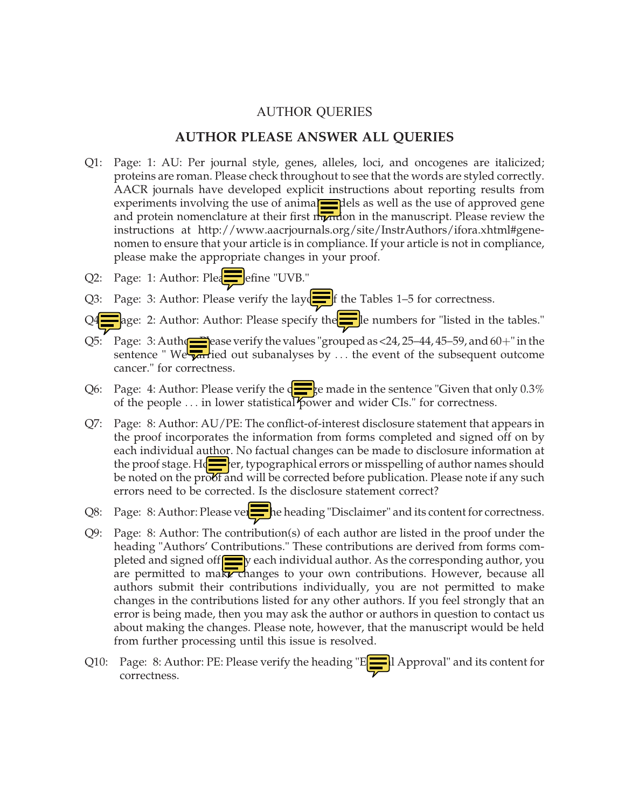## AUTHOR QUERIES

## AUTHOR PLEASE ANSWER ALL QUERIES

- Q1: Page: 1: AU: Per journal style, genes, alleles, loci, and oncogenes are italicized; proteins are roman. Please check throughout to see that the words are styled correctly. AACR journals have developed explicit instructions about reporting results from experiments involving the use of animal  $\Box$  dels as well as the use of approved gene and protein nomenclature at their first maximum in the manuscript. Please review the instructions at http://www.aacrjournals.org/site/InstrAuthors/ifora.xhtml#genenomen to ensure that your article is in compliance. If your article is not in compliance, please make the appropriate changes in your proof.
- Q2: Page: 1: Author: Plea $\leftarrow$  efine "UVB."
- Q3: Page: 3: Author: Please verify the layder of the Tables 1–5 for correctness.
- age: 2: Author: Author: Please specify the **T**he numbers for "listed in the tables."
- Q5: Page: 3: Author: Pease verify the values "grouped as <24, 25–44, 45–59, and 60+" in the sentence " We  $\sqrt{a}r$  ried out subanalyses by ... the event of the subsequent outcome cancer." for correctness.
- Q6: Page: 4: Author: Please verify the  $\frac{1}{\sqrt{2\pi}}$  made in the sentence "Given that only 0.3% of the people  $\dots$  in lower statistical power and wider CIs." for correctness.
- Q7: Page: 8: Author: AU/PE: The conflict-of-interest disclosure statement that appears in the proof incorporates the information from forms completed and signed off on by each individual author. No factual changes can be made to disclosure information at the proof stage. However, typographical errors or misspelling of author names should be noted on the proof and will be corrected before publication. Please note if any such errors need to be corrected. Is the disclosure statement correct?
- Q8: Page: 8: Author: Please verify the heading "Disclaimer" and its content for correctness.
- Q9: Page: 8: Author: The contribution(s) of each author are listed in the proof under the heading "Authors' Contributions." These contributions are derived from forms completed and signed off  $\Box$  y each individual author. As the corresponding author, you are permitted to make changes to your own contributions. However, because all authors submit their contributions individually, you are not permitted to make changes in the contributions listed for any other authors. If you feel strongly that an error is being made, then you may ask the author or authors in question to contact us about making the changes. Please note, however, that the manuscript would be held from further processing until this issue is resolved.
- Q10: Page: 8: Author: PE: Please verify the heading " $E_{\text{max}}$ ] Approval" and its content for correctness.